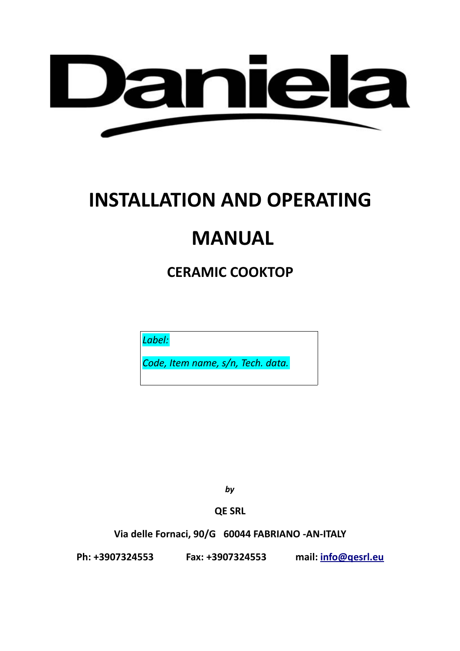

# **INSTALLATION AND OPERATING**

## **MANUAL**

**CERAMIC COOKTOP**

*Label:*

*Code, Item name, s/n, Tech. data.*

*by*

**QE SRL**

**Via delle Fornaci, 90/G 60044 FABRIANO -AN-ITALY**

**Ph: +3907324553 Fax: +3907324553 mail: [info@qesrl.eu](mailto:info@qesrl.eu)**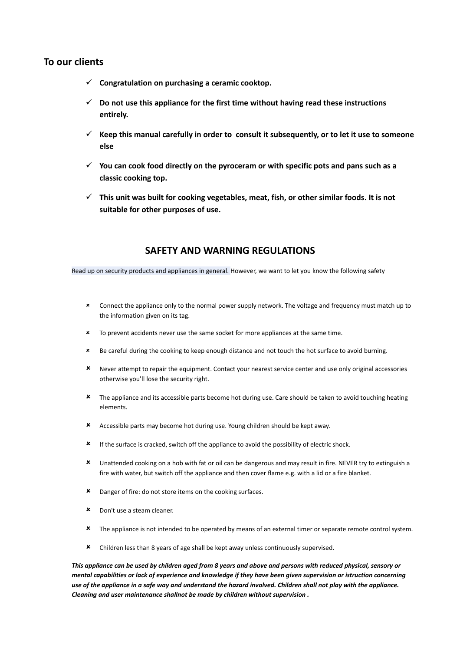## **To our clients**

- **Congratulation on purchasing a ceramic cooktop.**
- **Do not use this appliance for the first time without having read these instructions entirely.**
- $\checkmark$  Keep this manual carefully in order to consult it subsequently, or to let it use to someone **else**
- **You can cook food directly on the pyroceram or with specific pots and pans such as a classic cooking top.**
- **This unit was built for cooking vegetables, meat, fish, or other similar foods. It is not suitable for other purposes of use.**

## **SAFETY AND WARNING REGULATIONS**

Read up on security products and appliances in general. However, we want to let you know the following safety

- Connect the appliance only to the normal power supply network. The voltage and frequency must match up to the information given on its tag.
- \* To prevent accidents never use the same socket for more appliances at the same time.
- Be careful during the cooking to keep enough distance and not touch the hot surface to avoid burning.
- Never attempt to repair the equipment. Contact your nearest service center and use only original accessories otherwise you'll lose the security right.
- \* The appliance and its accessible parts become hot during use. Care should be taken to avoid touching heating elements.
- Accessible parts may become hot during use. Young children should be kept away.
- If the surface is cracked, switch off the appliance to avoid the possibility of electric shock.
- Unattended cooking on a hob with fat or oil can be dangerous and may result in fire. NEVER try to extinguish a fire with water, but switch off the appliance and then cover flame e.g. with a lid or a fire blanket.
- **\*** Danger of fire: do not store items on the cooking surfaces.
- Don't use a steam cleaner.
- **\*** The appliance is not intended to be operated by means of an external timer or separate remote control system.
- Children less than 8 years of age shall be kept away unless continuously supervised.

*This appliance can be used by children aged from 8 years and above and persons with reduced physical, sensory or mental capabilities or lack of experience and knowledge if they have been given supervision or istruction concerning use of the appliance in a safe way and understand the hazard involved. Children shall not play with the appliance. Cleaning and user maintenance shallnot be made by children without supervision .*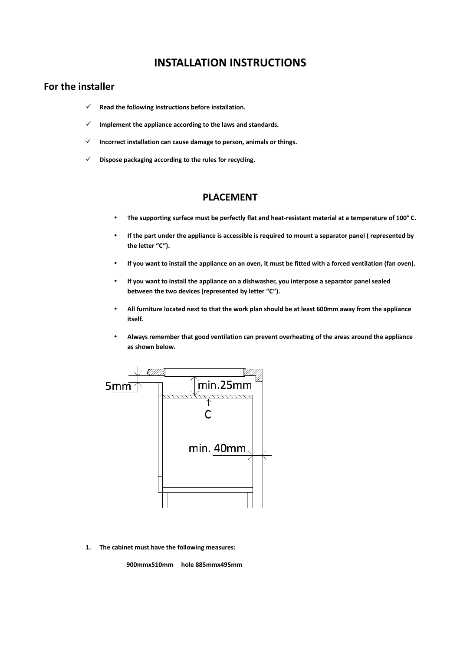## **INSTALLATION INSTRUCTIONS**

## **For the installer**

- **Read the following instructions before installation.**
- **Implement the appliance according to the laws and standards.**
- **Incorrect installation can cause damage to person, animals or things.**
- **Dispose packaging according to the rules for recycling.**

## **PLACEMENT**

- **The supporting surface must be perfectly flat and heat-resistant material at a temperature of 100° C.**
- **If the part under the appliance is accessible is required to mount a separator panel ( represented by the letter "C").**
- **If you want to install the appliance on an oven, it must be fitted with a forced ventilation (fan oven).**
- **If you want to install the appliance on a dishwasher, you interpose a separator panel sealed between the two devices (represented by letter "C").**
- **All furniture located next to that the work plan should be at least 600mm away from the appliance itself.**
- **Always remember that good ventilation can prevent overheating of the areas around the appliance as shown below.**



**1. The cabinet must have the following measures:**

**900mmx510mm hole 885mmx495mm**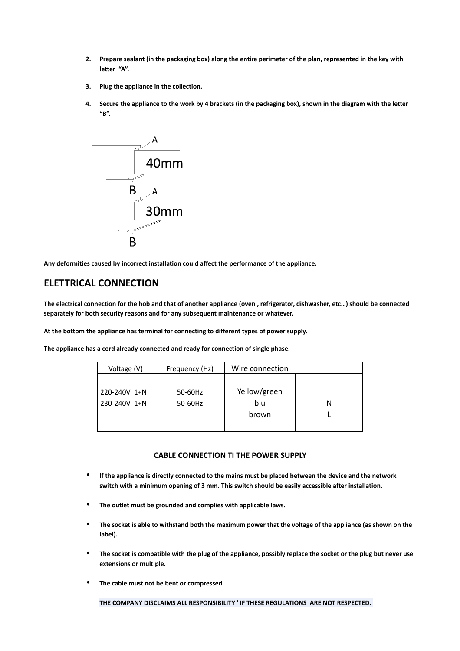- **2. Prepare sealant (in the packaging box) along the entire perimeter of the plan, represented in the key with letter "A".**
- **3. Plug the appliance in the collection.**
- **4. Secure the appliance to the work by 4 brackets (in the packaging box), shown in the diagram with the letter "B".**



**Any deformities caused by incorrect installation could affect the performance of the appliance.**

## **ELETTRICAL CONNECTION**

**The electrical connection for the hob and that of another appliance (oven , refrigerator, dishwasher, etc…) should be connected separately for both security reasons and for any subsequent maintenance or whatever.**

**At the bottom the appliance has terminal for connecting to different types of power supply.**

**The appliance has a cord already connected and ready for connection of single phase.**

| Voltage (V)  | Frequency (Hz) | Wire connection |   |
|--------------|----------------|-----------------|---|
|              |                |                 |   |
| 220-240V 1+N | 50-60Hz        | Yellow/green    |   |
| 230-240V 1+N | 50-60Hz        | blu             | N |
|              |                | brown           |   |
|              |                |                 |   |

#### **CABLE CONNECTION TI THE POWER SUPPLY**

- **If the appliance is directly connected to the mains must be placed between the device and the network switch with a minimum opening of 3 mm. This switch should be easily accessible after installation.**
- **The outlet must be grounded and complies with applicable laws.**
- **The socket is able to withstand both the maximum power that the voltage of the appliance (as shown on the label).**
- **The socket is compatible with the plug of the appliance, possibly replace the socket or the plug but never use extensions or multiple.**
- **The cable must not be bent or compressed**

**THE COMPANY DISCLAIMS ALL RESPONSIBILITY ' IF THESE REGULATIONS ARE NOT RESPECTED.**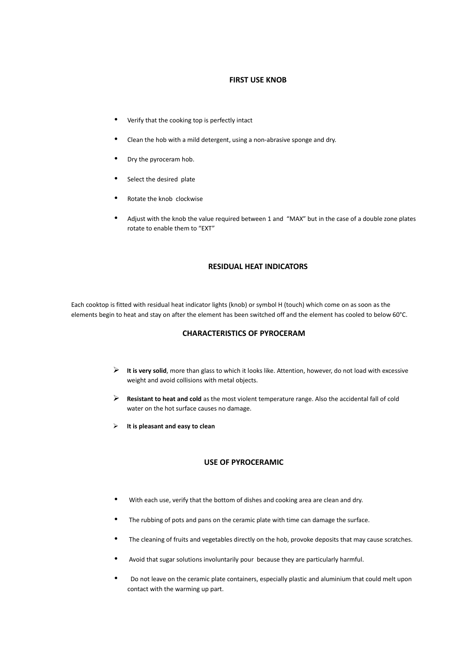#### **FIRST USE KNOB**

- Verify that the cooking top is perfectly intact
- Clean the hob with a mild detergent, using a non-abrasive sponge and dry.
- Dry the pyroceram hob.
- Select the desired plate
- Rotate the knob clockwise
- Adjust with the knob the value required between 1 and "MAX" but in the case of a double zone plates rotate to enable them to "EXT"

#### **RESIDUAL HEAT INDICATORS**

Each cooktop is fitted with residual heat indicator lights (knob) or symbol H (touch) which come on as soon as the elements begin to heat and stay on after the element has been switched off and the element has cooled to below 60°C.

#### **CHARACTERISTICS OF PYROCERAM**

- **It is very solid**, more than glass to which it looks like. Attention, however, do not load with excessive weight and avoid collisions with metal objects.
- **Resistant to heat and cold** as the most violent temperature range. Also the accidental fall of cold water on the hot surface causes no damage.
- **It is pleasant and easy to clean**

#### **USE OF PYROCERAMIC**

- With each use, verify that the bottom of dishes and cooking area are clean and dry.
- The rubbing of pots and pans on the ceramic plate with time can damage the surface.
- The cleaning of fruits and vegetables directly on the hob, provoke deposits that may cause scratches.
- Avoid that sugar solutions involuntarily pour because they are particularly harmful.
- Do not leave on the ceramic plate containers, especially plastic and aluminium that could melt upon contact with the warming up part.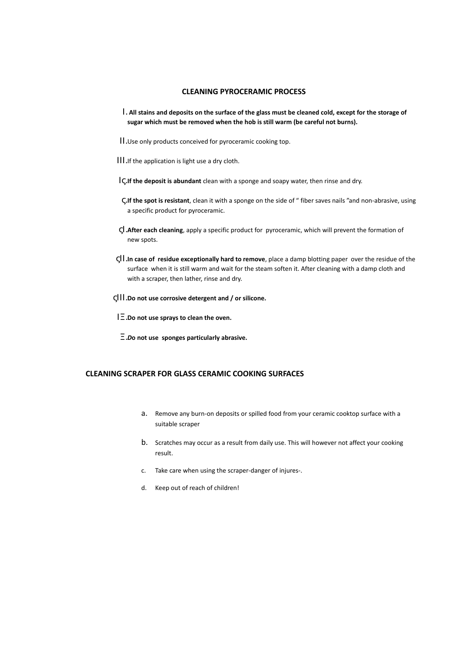#### **CLEANING PYROCERAMIC PROCESS**

- Ι. **All stains and deposits on the surface of the glass must be cleaned cold, except for the storage of sugar which must be removed when the hob is still warm (be careful not burns).**
- ΙΙ.Use only products conceived for pyroceramic cooking top.
- ΙΙΙ.If the application is light use a dry cloth.
- Ις.**If the deposit is abundant** clean with a sponge and soapy water, then rinse and dry.
- ς.**If the spot is resistant**, clean it with a sponge on the side of " fiber saves nails "and non-abrasive, using a specific product for pyroceramic.
- ςΙ.**After each cleaning**, apply a specific product for pyroceramic, which will prevent the formation of new spots.
- ςΙΙ.**In case of residue exceptionally hard to remove**, place a damp blotting paper over the residue of the surface when it is still warm and wait for the steam soften it. After cleaning with a damp cloth and with a scraper, then lather, rinse and dry.
- ςΙΙΙ.**Do not use corrosive detergent and / or silicone.**

ΙΞ.**Do not use sprays to clean the oven.**

Ξ.*D***o not use sponges particularly abrasive.**

#### **CLEANING SCRAPER FOR GLASS CERAMIC COOKING SURFACES**

- a. Remove any burn-on deposits or spilled food from your ceramic cooktop surface with a suitable scraper
- b. Scratches may occur as a result from daily use. This will however not affect your cooking result.
- c. Take care when using the scraper-danger of injures-.
- d. Keep out of reach of children!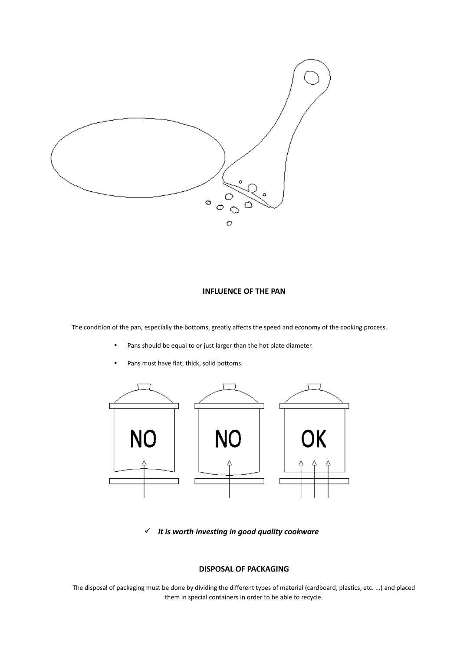

#### **INFLUENCE OF THE PAN**

The condition of the pan, especially the bottoms, greatly affects the speed and economy of the cooking process.

- Pans should be equal to or just larger than the hot plate diameter.
- Pans must have flat, thick, solid bottoms.



*It is worth investing in good quality cookware*

#### **DISPOSAL OF PACKAGING**

The disposal of packaging must be done by dividing the different types of material (cardboard, plastics, etc. ...) and placed them in special containers in order to be able to recycle.